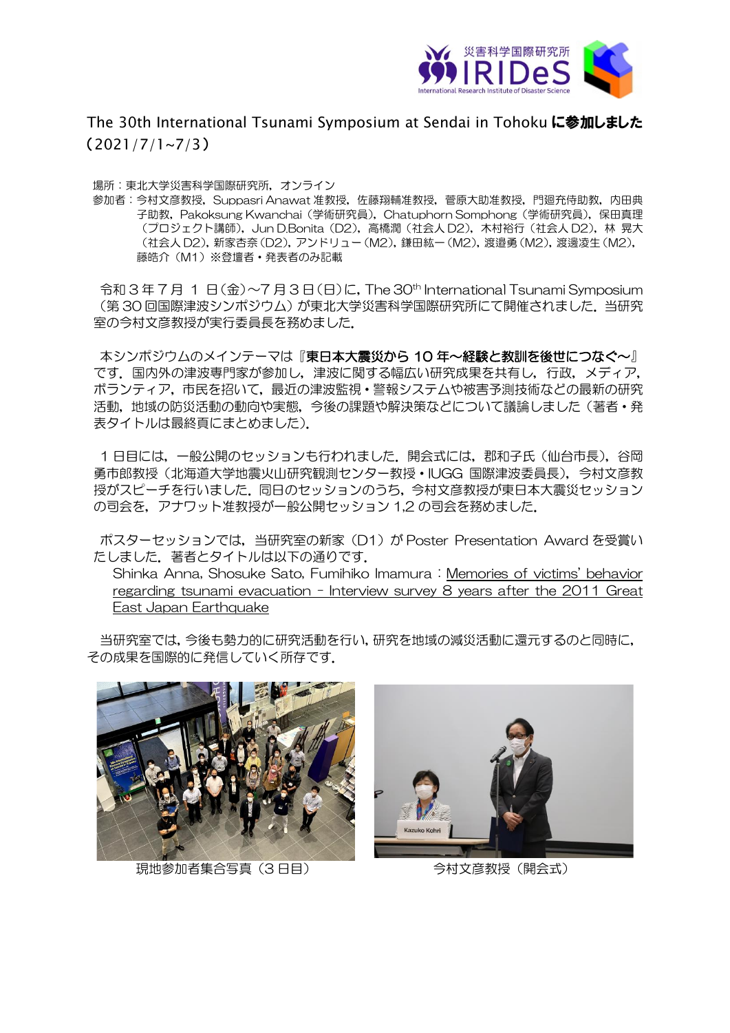

The 30th International Tsunami Symposium at Sendai in Tohoku に参加しました (2021/7/1~7/3)

場所:東北大学災害科学国際研究所,オンライン

参加者:今村文彦教授,Suppasri Anawat 准教授,佐藤翔輔准教授,菅原大助准教授,門廻充侍助教,内田典 子助教,Pakoksung Kwanchai(学術研究員),Chatuphorn Somphong(学術研究員),保田真理 (プロジェクト講師),Jun D.Bonita(D2),高橋潤(社会人 D2),木村裕行(社会人 D2),林 晃大 (社会人 D2), 新家杏奈 (D2), アンドリュー (M2), 鎌田紘一 (M2), 渡邉勇 (M2), 渡邊凌生 (M2), 藤皓介(M1)※登壇者・発表者のみ記載

令和 3 年 7 月 1 日(金)~7 月 3 日(日)に,The 30th International Tsunami Symposium (第 30 回国際津波シンポジウム)が東北大学災害科学国際研究所にて開催されました.当研究 室の今村文彦教授が実行委員長を務めました.

本シンポジウムのメインテーマは『東日本大震災から 10 年~経験と教訓を後世につなぐ~』 です. 国内外の津波専門家が参加し,津波に関する幅広い研究成果を共有し, 行政, メディア, ボランティア,市民を招いて,最近の津波監視・警報システムや被害予測技術などの最新の研究 活動,地域の防災活動の動向や実態,今後の課題や解決策などについて議論しました(著者・発 表タイトルは最終頁にまとめました).

1日目には,一般公開のセッションも行われました. 開会式には,郡和子氏(仙台市長),谷岡 勇市郎教授(北海道大学地震火山研究観測センター教授・IUGG 国際津波委員長),今村文彦教 授がスピーチを行いました.同日のセッションのうち,今村文彦教授が東日本大震災セッション の司会を,アナワット准教授が一般公開セッション 1,2 の司会を務めました.

ポスターセッションでは,当研究室の新家(D1)が Poster Presentation Award を受賞い たしました.著者とタイトルは以下の通りです.

Shinka Anna, Shosuke Sato, Fumihiko Imamura : Memories of victims' behavior regarding tsunami evacuation - Interview survey 8 years after the 2011 Great East Japan Earthquake

当研究室では,今後も勢力的に研究活動を行い,研究を地域の減災活動に還元するのと同時に, その成果を国際的に発信していく所存です.



現地参加者集合写真 (3 日目) インスコントライン 今村文彦教授 (開会式)

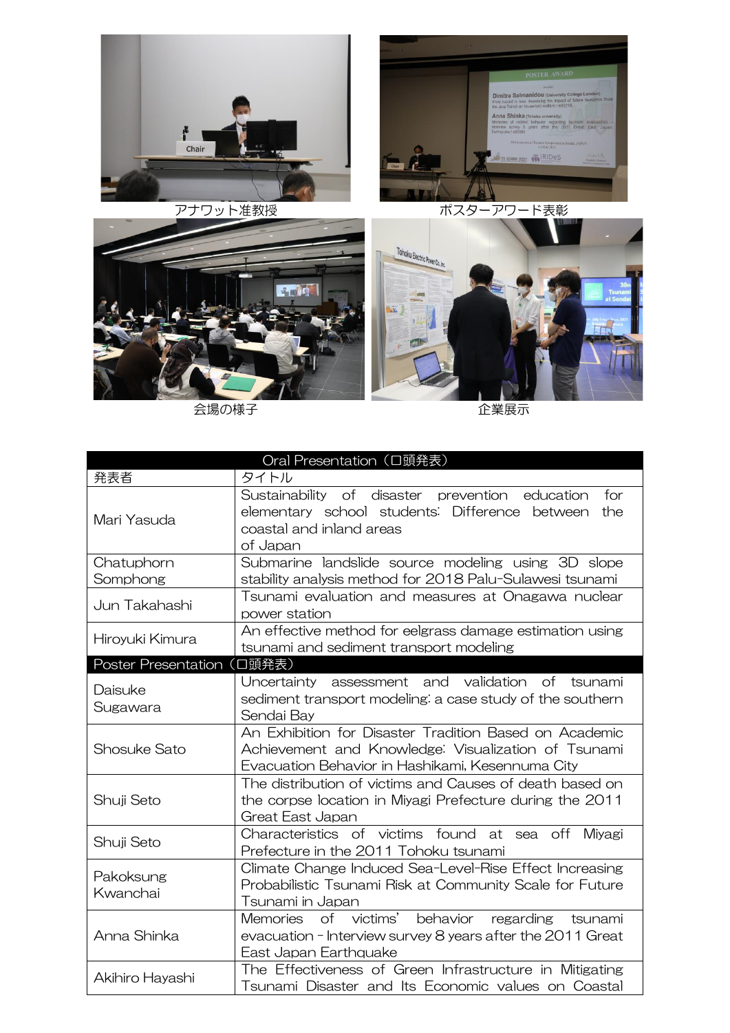



- 全場の様子 - インディング - インディング - インディング - 企業展示

|                            | Oral Presentation (口頭発表)                                                                                                                                          |
|----------------------------|-------------------------------------------------------------------------------------------------------------------------------------------------------------------|
| 発表者                        | タイトル                                                                                                                                                              |
| Mari Yasuda                | Sustainability of disaster prevention<br>for<br>education<br>elementary school students: Difference<br>between<br>the<br>coastal and inland areas<br>of Japan     |
| Chatuphorn<br>Somphong     | Submarine landslide source modeling using 3D slope<br>stability analysis method for 2018 Palu-Sulawesi tsunami                                                    |
| Jun Takahashi              | Tsunami evaluation and measures at Onagawa nuclear<br>power station                                                                                               |
| Hiroyuki Kimura            | An effective method for eelgrass damage estimation using<br>tsunami and sediment transport modeling                                                               |
| Poster Presentation (口頭発表) |                                                                                                                                                                   |
| Daisuke<br>Sugawara        | validation of tsunami<br>assessment and<br>Uncertainty<br>sediment transport modeling: a case study of the southern<br>Sendai Bay                                 |
| Shosuke Sato               | An Exhibition for Disaster Tradition Based on Academic<br>Achievement and Knowledge: Visualization of Tsunami<br>Evacuation Behavior in Hashikami, Kesennuma City |
| Shuji Seto                 | The distribution of victims and Causes of death based on<br>the corpse location in Miyagi Prefecture during the 2011<br>Great East Japan                          |
| Shuji Seto                 | Characteristics of victims found<br>at sea off Miyagi<br>Prefecture in the 2011 Tohoku tsunami                                                                    |
| Pakoksung<br>Kwanchai      | Climate Change Induced Sea-Level-Rise Effect Increasing<br>Probabilistic Tsunami Risk at Community Scale for Future<br>Tsunami in Japan                           |
| Anna Shinka                | of victims'<br>behavior<br>Memories<br>regarding<br>tsunami<br>evacuation - Interview survey 8 years after the 2011 Great<br>East Japan Earthquake                |
| Akihiro Hayashi            | The Effectiveness of Green Infrastructure in Mitigating<br>Tsunami Disaster and Its Economic values on Coastal                                                    |